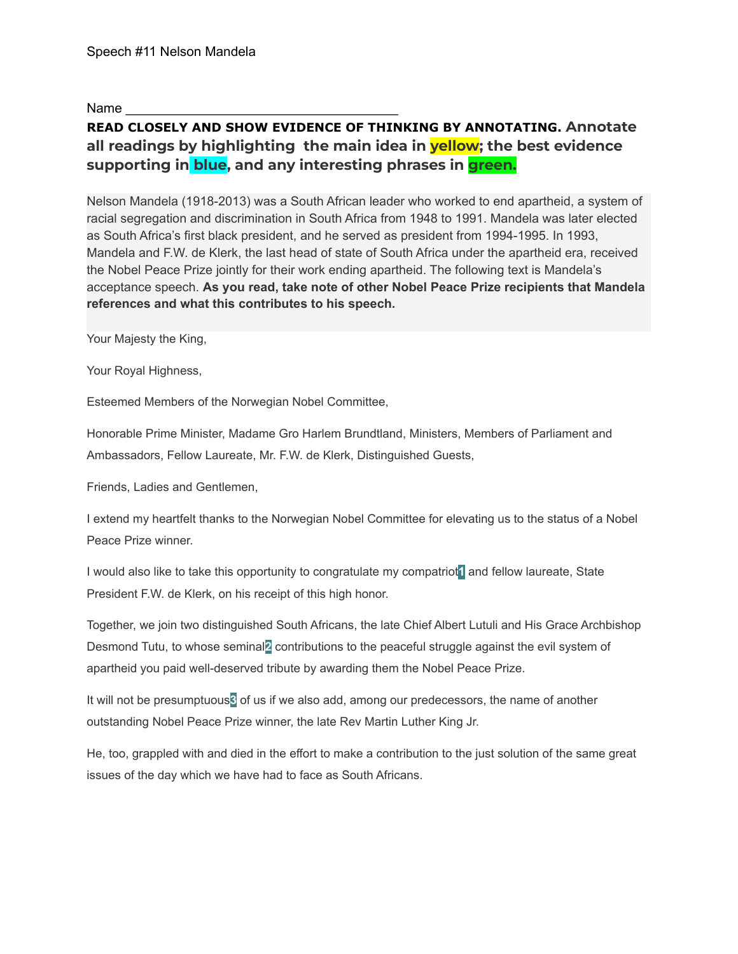Name

# **READ CLOSELY AND SHOW EVIDENCE OF THINKING BY ANNOTATING. Annotate all readings by highlighting the main idea in yellow; the best evidence supporting in blue, and any interesting phrases in green.**

Nelson Mandela (1918-2013) was a South African leader who worked to end apartheid, a system of racial segregation and discrimination in South Africa from 1948 to 1991. Mandela was later elected as South Africa's first black president, and he served as president from 1994-1995. In 1993, Mandela and F.W. de Klerk, the last head of state of South Africa under the apartheid era, received the Nobel Peace Prize jointly for their work ending apartheid. The following text is Mandela's acceptance speech. **As you read, take note of other Nobel Peace Prize recipients that Mandela references and what this contributes to his speech.**

Your Majesty the King,

Your Royal Highness,

Esteemed Members of the Norwegian Nobel Committee,

Honorable Prime Minister, Madame Gro Harlem Brundtland, Ministers, Members of Parliament and Ambassadors, Fellow Laureate, Mr. F.W. de Klerk, Distinguished Guests,

Friends, Ladies and Gentlemen,

I extend my heartfelt thanks to the Norwegian Nobel Committee for elevating us to the status of a Nobel Peace Prize winner.

I would also like to take this opportunity to congratulate my compatriot**1** and fellow laureate, State President F.W. de Klerk, on his receipt of this high honor.

Together, we join two distinguished South Africans, the late Chief Albert Lutuli and His Grace Archbishop Desmond Tutu, to whose seminal**2** contributions to the peaceful struggle against the evil system of apartheid you paid well-deserved tribute by awarding them the Nobel Peace Prize.

It will not be presumptuous**3** of us if we also add, among our predecessors, the name of another outstanding Nobel Peace Prize winner, the late Rev Martin Luther King Jr.

He, too, grappled with and died in the effort to make a contribution to the just solution of the same great issues of the day which we have had to face as South Africans.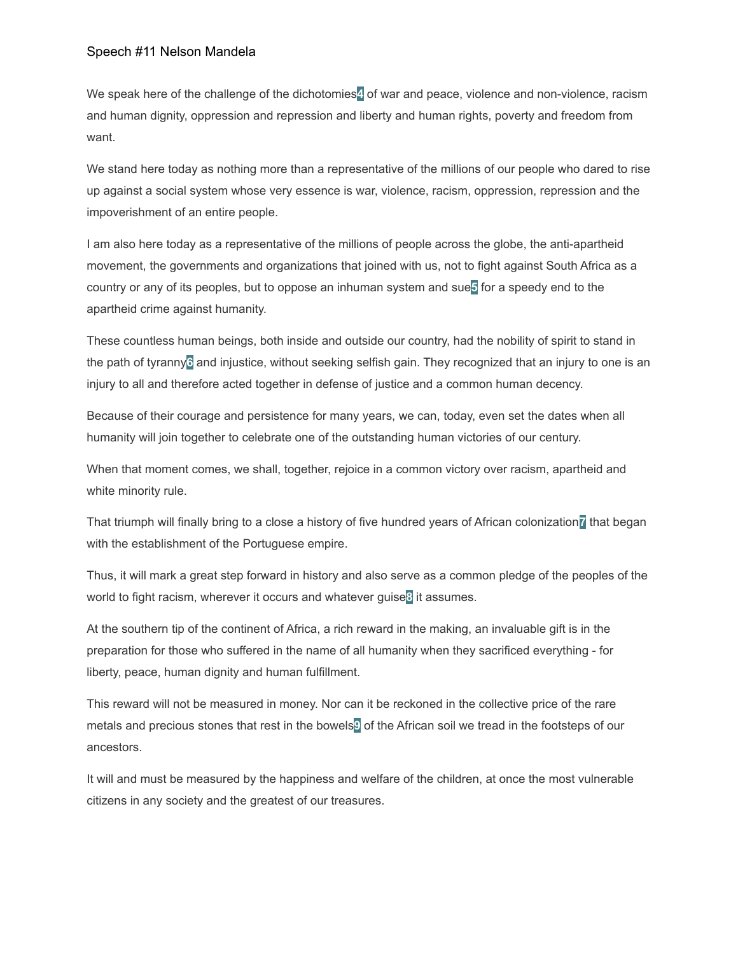We speak here of the challenge of the dichotomies<sup>7</sup> of war and peace, violence and non-violence, racism and human dignity, oppression and repression and liberty and human rights, poverty and freedom from want.

We stand here today as nothing more than a representative of the millions of our people who dared to rise up against a social system whose very essence is war, violence, racism, oppression, repression and the impoverishment of an entire people.

I am also here today as a representative of the millions of people across the globe, the anti-apartheid movement, the governments and organizations that joined with us, not to fight against South Africa as a country or any of its peoples, but to oppose an inhuman system and sue**5** for a speedy end to the apartheid crime against humanity.

These countless human beings, both inside and outside our country, had the nobility of spirit to stand in the path of tyranny**6** and injustice, without seeking selfish gain. They recognized that an injury to one is an injury to all and therefore acted together in defense of justice and a common human decency.

Because of their courage and persistence for many years, we can, today, even set the dates when all humanity will join together to celebrate one of the outstanding human victories of our century.

When that moment comes, we shall, together, rejoice in a common victory over racism, apartheid and white minority rule.

That triumph will finally bring to a close a history of five hundred years of African colonization**7** that began with the establishment of the Portuguese empire.

Thus, it will mark a great step forward in history and also serve as a common pledge of the peoples of the world to fight racism, wherever it occurs and whatever guise**8** it assumes.

At the southern tip of the continent of Africa, a rich reward in the making, an invaluable gift is in the preparation for those who suffered in the name of all humanity when they sacrificed everything - for liberty, peace, human dignity and human fulfillment.

This reward will not be measured in money. Nor can it be reckoned in the collective price of the rare metals and precious stones that rest in the bowels**9** of the African soil we tread in the footsteps of our ancestors.

It will and must be measured by the happiness and welfare of the children, at once the most vulnerable citizens in any society and the greatest of our treasures.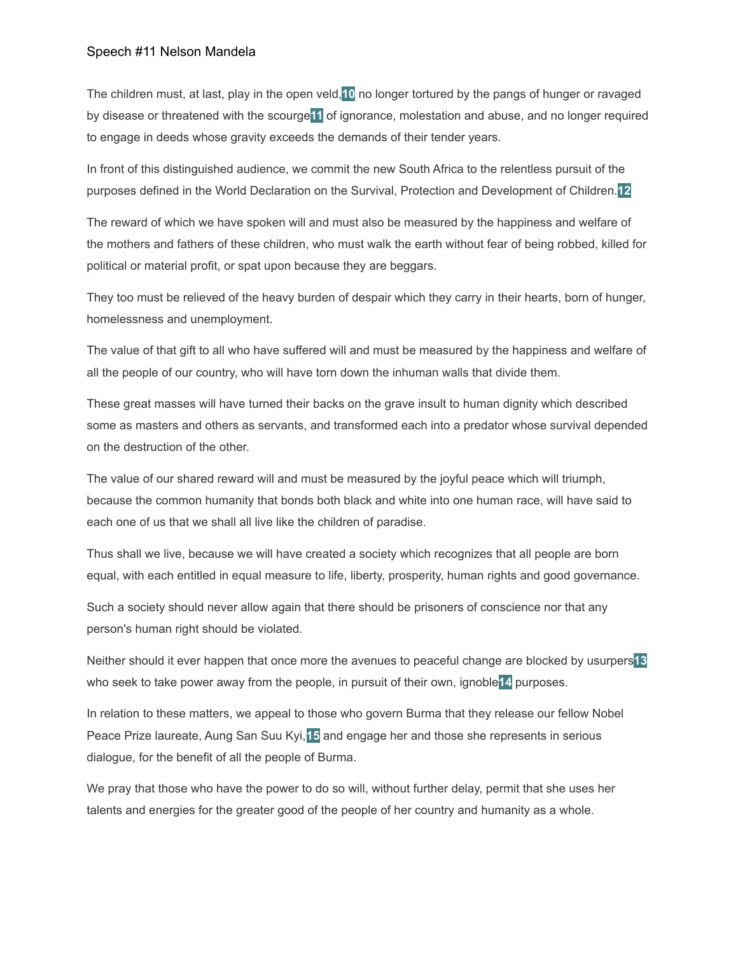The children must, at last, play in the open veld,**10** no longer tortured by the pangs of hunger or ravaged by disease or threatened with the scourge**11** of ignorance, molestation and abuse, and no longer required to engage in deeds whose gravity exceeds the demands of their tender years.

In front of this distinguished audience, we commit the new South Africa to the relentless pursuit of the purposes defined in the World Declaration on the Survival, Protection and Development of Children.**12**

The reward of which we have spoken will and must also be measured by the happiness and welfare of the mothers and fathers of these children, who must walk the earth without fear of being robbed, killed for political or material profit, or spat upon because they are beggars.

They too must be relieved of the heavy burden of despair which they carry in their hearts, born of hunger, homelessness and unemployment.

The value of that gift to all who have suffered will and must be measured by the happiness and welfare of all the people of our country, who will have torn down the inhuman walls that divide them.

These great masses will have turned their backs on the grave insult to human dignity which described some as masters and others as servants, and transformed each into a predator whose survival depended on the destruction of the other.

The value of our shared reward will and must be measured by the joyful peace which will triumph, because the common humanity that bonds both black and white into one human race, will have said to each one of us that we shall all live like the children of paradise.

Thus shall we live, because we will have created a society which recognizes that all people are born equal, with each entitled in equal measure to life, liberty, prosperity, human rights and good governance.

Such a society should never allow again that there should be prisoners of conscience nor that any person's human right should be violated.

Neither should it ever happen that once more the avenues to peaceful change are blocked by usurpers**13** who seek to take power away from the people, in pursuit of their own, ignoble**14** purposes.

In relation to these matters, we appeal to those who govern Burma that they release our fellow Nobel Peace Prize laureate, Aung San Suu Kyi,**15** and engage her and those she represents in serious dialogue, for the benefit of all the people of Burma.

We pray that those who have the power to do so will, without further delay, permit that she uses her talents and energies for the greater good of the people of her country and humanity as a whole.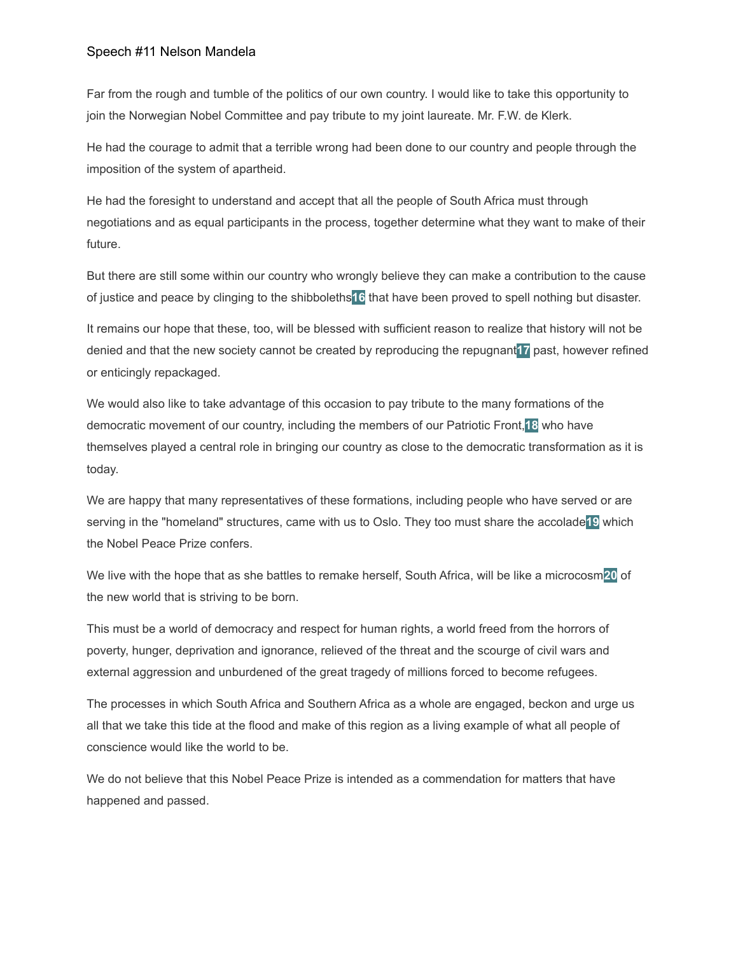Far from the rough and tumble of the politics of our own country. I would like to take this opportunity to join the Norwegian Nobel Committee and pay tribute to my joint laureate. Mr. F.W. de Klerk.

He had the courage to admit that a terrible wrong had been done to our country and people through the imposition of the system of apartheid.

He had the foresight to understand and accept that all the people of South Africa must through negotiations and as equal participants in the process, together determine what they want to make of their future.

But there are still some within our country who wrongly believe they can make a contribution to the cause of justice and peace by clinging to the shibboleths**16** that have been proved to spell nothing but disaster.

It remains our hope that these, too, will be blessed with sufficient reason to realize that history will not be denied and that the new society cannot be created by reproducing the repugnant**17** past, however refined or enticingly repackaged.

We would also like to take advantage of this occasion to pay tribute to the many formations of the democratic movement of our country, including the members of our Patriotic Front,**18** who have themselves played a central role in bringing our country as close to the democratic transformation as it is today.

We are happy that many representatives of these formations, including people who have served or are serving in the "homeland" structures, came with us to Oslo. They too must share the accolade**19** which the Nobel Peace Prize confers.

We live with the hope that as she battles to remake herself, South Africa, will be like a microcosm**20** of the new world that is striving to be born.

This must be a world of democracy and respect for human rights, a world freed from the horrors of poverty, hunger, deprivation and ignorance, relieved of the threat and the scourge of civil wars and external aggression and unburdened of the great tragedy of millions forced to become refugees.

The processes in which South Africa and Southern Africa as a whole are engaged, beckon and urge us all that we take this tide at the flood and make of this region as a living example of what all people of conscience would like the world to be.

We do not believe that this Nobel Peace Prize is intended as a commendation for matters that have happened and passed.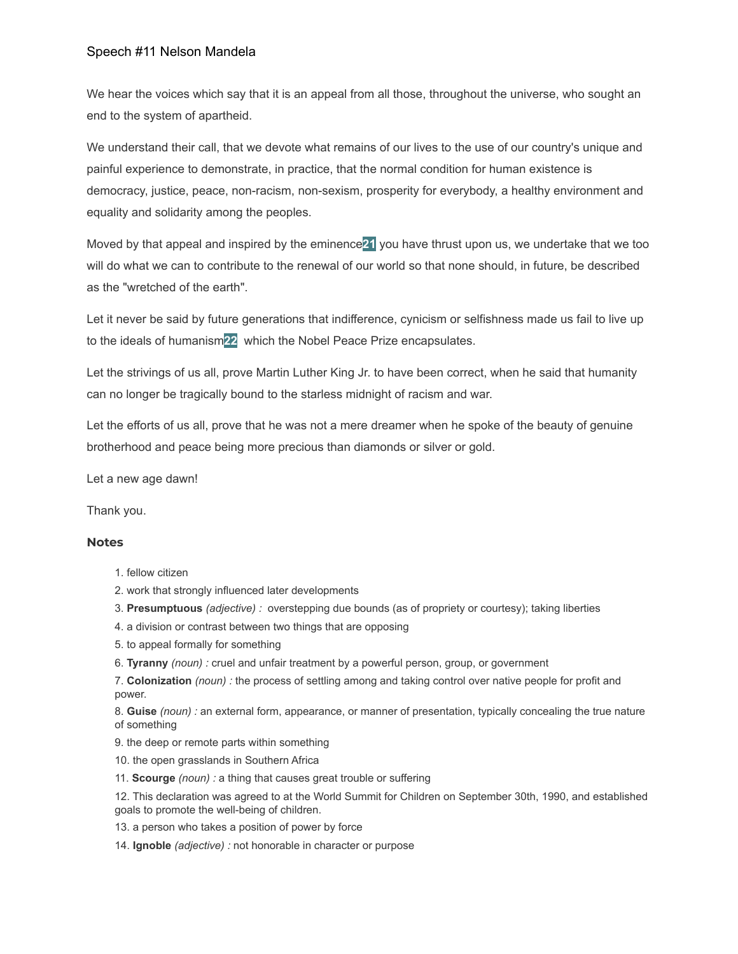We hear the voices which say that it is an appeal from all those, throughout the universe, who sought an end to the system of apartheid.

We understand their call, that we devote what remains of our lives to the use of our country's unique and painful experience to demonstrate, in practice, that the normal condition for human existence is democracy, justice, peace, non-racism, non-sexism, prosperity for everybody, a healthy environment and equality and solidarity among the peoples.

Moved by that appeal and inspired by the eminence**21** you have thrust upon us, we undertake that we too will do what we can to contribute to the renewal of our world so that none should, in future, be described as the "wretched of the earth".

Let it never be said by future generations that indifference, cynicism or selfishness made us fail to live up to the ideals of humanism**22** which the Nobel Peace Prize encapsulates.

Let the strivings of us all, prove Martin Luther King Jr. to have been correct, when he said that humanity can no longer be tragically bound to the starless midnight of racism and war.

Let the efforts of us all, prove that he was not a mere dreamer when he spoke of the beauty of genuine brotherhood and peace being more precious than diamonds or silver or gold.

Let a new age dawn!

Thank you.

#### **Notes**

- 1. fellow citizen
- 2. work that strongly influenced later developments
- 3. **Presumptuous** *(adjective) :* overstepping due bounds (as of propriety or courtesy); taking liberties
- 4. a division or contrast between two things that are opposing
- 5. to appeal formally for something
- 6. **Tyranny** *(noun) :* cruel and unfair treatment by a powerful person, group, or government

7. **Colonization** *(noun) :* the process of settling among and taking control over native people for profit and power.

8. **Guise** *(noun) :* an external form, appearance, or manner of presentation, typically concealing the true nature of something

- 9. the deep or remote parts within something
- 10. the open grasslands in Southern Africa
- 11. **Scourge** *(noun) :* a thing that causes great trouble or suffering

12. This declaration was agreed to at the World Summit for Children on September 30th, 1990, and established goals to promote the well-being of children.

- 13. a person who takes a position of power by force
- 14. **Ignoble** *(adjective) :* not honorable in character or purpose